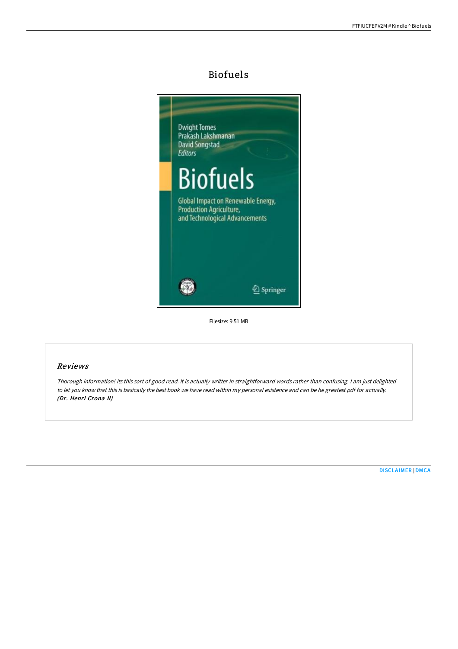# Biofuels



Filesize: 9.51 MB

## Reviews

Thorough information! Its this sort of good read. It is actually writter in straightforward words rather than confusing. <sup>I</sup> am just delighted to let you know that this is basically the best book we have read within my personal existence and can be he greatest pdf for actually. (Dr. Henri Crona II)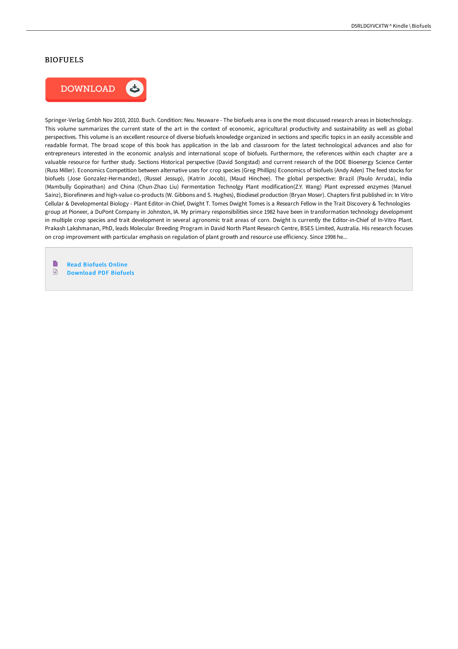#### BIOFUELS



Springer-Verlag Gmbh Nov 2010, 2010. Buch. Condition: Neu. Neuware - The biofuels area is one the most discussed research areas in biotechnology. This volume summarizes the current state of the art in the context of economic, agricultural productivity and sustainability as well as global perspectives. This volume is an excellent resource of diverse biofuels knowledge organized in sections and specific topics in an easily accessible and readable format. The broad scope of this book has application in the lab and classroom for the latest technological advances and also for entrepreneurs interested in the economic analysis and international scope of biofuels. Furthermore, the references within each chapter are a valuable resource for further study. Sections Historical perspective (David Songstad) and current research of the DOE Bioenergy Science Center (Russ Miller). Economics Competition between alternative uses for crop species (Greg Phillips) Economics of biofuels (Andy Aden) The feed stocks for biofuels (Jose Gonzalez-Hermandez), (Russel Jessup), (Katrin Jocob), (Maud Hinchee). The global perspective: Brazil (Paulo Arruda), India (Mambully Gopinathan) and China (Chun-Zhao Liu) Fermentation Technolgy Plant modification(Z.Y. Wang) Plant expressed enzymes (Manuel Sainz), Biorefineres and high-value co-products (W. Gibbons and S. Hughes), Biodiesel production (Bryan Moser). Chapters first published in: In Vitro Cellular & Developmental Biology - Plant Editor-in-Chief, Dwight T. Tomes Dwight Tomes is a Research Fellow in the Trait Discovery & Technologies group at Pioneer, a DuPont Company in Johnston, IA. My primary responsibilities since 1982 have been in transformation technology development in multiple crop species and trait development in several agronomic trait areas of corn. Dwight is currently the Editor-in-Chief of In-Vitro Plant. Prakash Lakshmanan, PhD, leads Molecular Breeding Program in David North Plant Research Centre, BSES Limited, Australia. His research focuses on crop improvement with particular emphasis on regulation of plant growth and resource use efficiency. Since 1998 he...

B Read [Biofuels](http://albedo.media/biofuels.html) Online  $\mathop{\boxplus}$ [Download](http://albedo.media/biofuels.html) PDF Biofuels